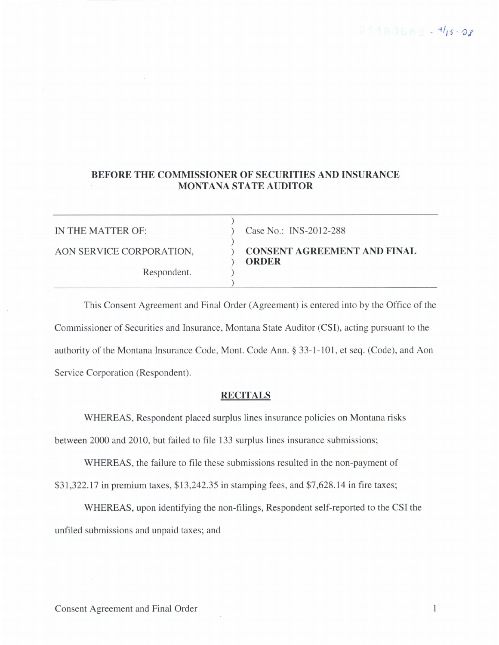# BEFORE THE COMMISSIONER OF SECURITIES AND INSURANCE MONTANA STATE AUDITOR

)

)

)

Respondent.

IN THE MATTER OF: ) Case No.: INS-2012-288

AON SERVICE CORPORATION,  $\overrightarrow{O}$  CONSENT AGREEMENT AND FINAL

This Consent Agreement and Final Order (Agreement) is entered into by the Office of the Commissioner of Securities and Insurance, Montana State Auditor (CSI), acting pursuant to the authority of the Montana Insurance Code, Mont. Code Ann. \$ 33-1-101, et seq. (Code), and Aon Service Corporation (Respondent).

## **RECITALS**

WHEREAS, Respondent placed surplus lines insurance policies on Montana risks between 2000 and 2010, but failed to file 133 surplus lines insurance submissions;

WHEREAS, the failure to file these submissions resulted in the non-payment of \$31,322.17 in premium taxes, \$13,242.35 in stamping fees, and \$7,628.14 in fire taxes;

WHEREAS, upon identifying the non-filings, Respondent self-reported to the CSI the unfiled submissions and unpaid taxes; and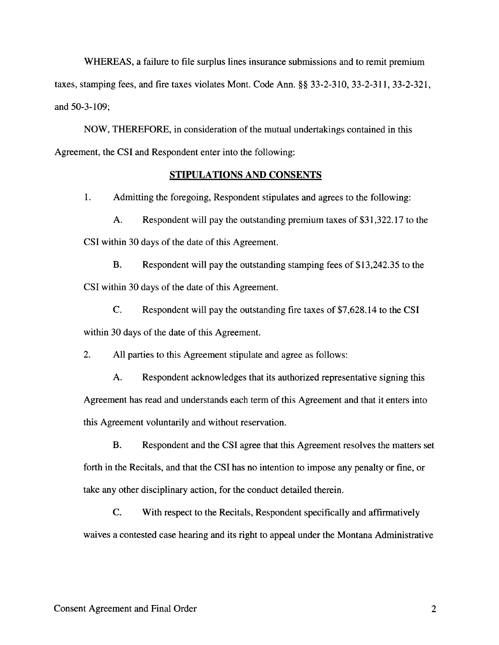WHEREAS, a failure to file surplus lines insurance submissions and to remit premium taxes, stamping fees, and fire taxes violates Mont. Code Ann. §§ 33-2-310, 33-2-311, 33-2-321, and 50-3-109;

NOW, THEREFORE, in consideration of the mutual undertakings contained in this Agreement, the CSI and Respondent enter into the following:

#### STIPULATIONS AND CONSENTS

1. Admitting the foregoing, Respondent stipulates and agrees to the following:

A. Respondent will pay the outstanding premium taxes of \$3I,322.17 to the CSI within 30 days of the date of this Agreement.

B. Respondent will pay the outstanding stamping fees of \$13,242.35 to the CSI within 30 days of the date of this Agreement.

C. Respondent will pay the outstanding fire taxes of \$7,628.14 to the CSI within 30 days of the date of this Agreement.

2. All parties to this Agreement stipulate and agree as follows:

A. Respondent acknowledges that its authorized representative signing this Agreement has read and understands each term of this Agreement and that it enters into this Agreement voluntarily and without reservation.

B. Respondent and the CSI agree that this Agreement resolves the matters set forth in the Recitals, and that the CSI has no intention to impose any penalty or fine, or take any other disciplinary action, for the conduct detailed therein.

C. With respect to the Recitals, Respondent specifically and affirmatively waives a contested case hearing and its right to appeal under the Montana Administrative

 $\overline{2}$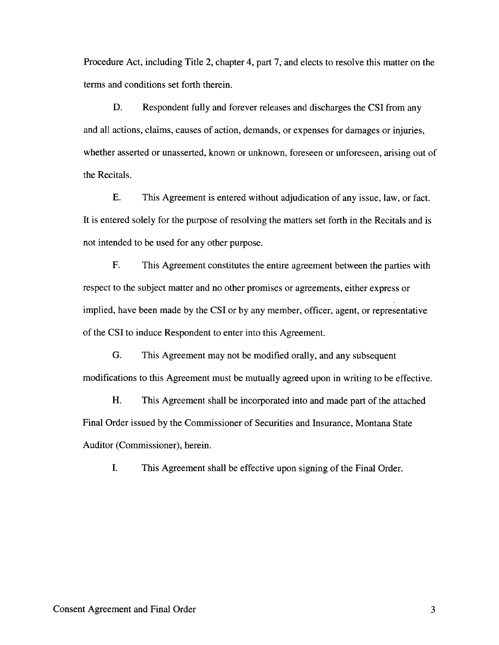Procedure Act, including Title 2, chapter 4, part 7, and elects to resolve this matter on the terms and conditions set forth therein.

D. Respondent fully and forever releases and discharges the CSI from any and all actions, claims, causes of action, demands, or expenses for damages or injuries, whether asserted or unasserted, known or unknown, foreseen or unforeseen, arising out of the Recitals.

E. This Agreement is entered without adjudication of any issue, law, or fact. It is entered solely for the purpose of resolving the matters set forth in the Recitals and is not intended to be used for any other purpose.

F. This Agreement constitutes the entire agreement between the parties with respect to the subject matter and no other promises or agreements, either express or implied, have been made by the CSI or by any member, officer, agent, or representative of the CSI to induce Respondent to enter into this Agreement.

G. This Agreement may not be modified orally, and any subsequent modifications to this Agreement must be mutually agreed upon in writing to be effective.

H. This Agreement shall be incorporated into and made part of the attached Final Order issued by the Commissioner of Securities and Insurance, Montana State Auditor (Commissioner), herein.

L This Agreement shall be effective upon signing of the Final Order.